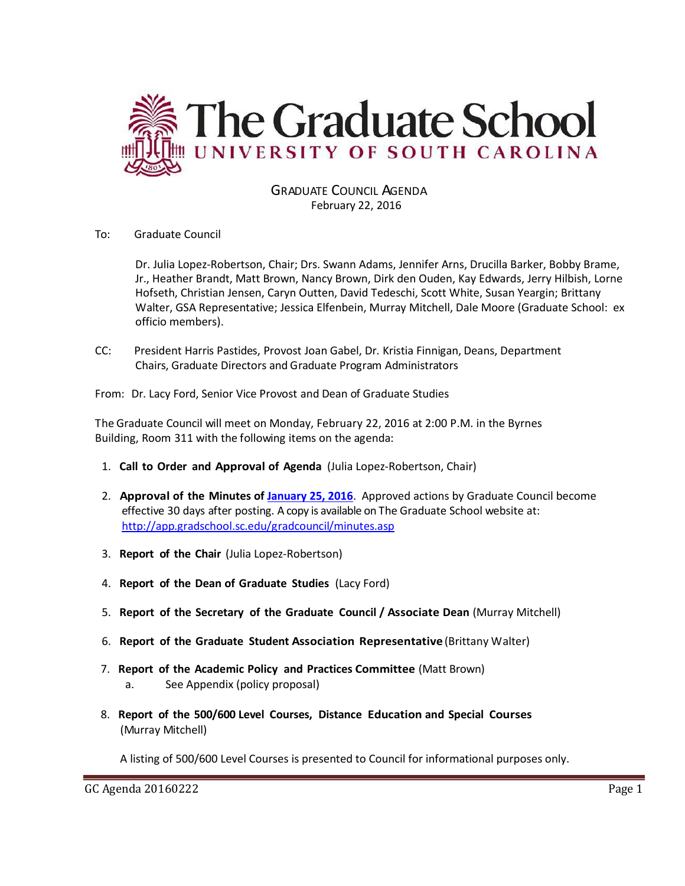

GRADUATE COUNCIL AGENDA February 22, 2016

To: Graduate Council

Dr. Julia Lopez-Robertson, Chair; Drs. Swann Adams, Jennifer Arns, Drucilla Barker, Bobby Brame, Jr., Heather Brandt, Matt Brown, Nancy Brown, Dirk den Ouden, Kay Edwards, Jerry Hilbish, Lorne Hofseth, Christian Jensen, Caryn Outten, David Tedeschi, Scott White, Susan Yeargin; Brittany Walter, GSA Representative; Jessica Elfenbein, Murray Mitchell, Dale Moore (Graduate School: ex officio members).

CC: President Harris Pastides, Provost Joan Gabel, Dr. Kristia Finnigan, Deans, Department Chairs, Graduate Directors and Graduate Program Administrators

From: Dr. Lacy Ford, Senior Vice Provost and Dean of Graduate Studies

The Graduate Council will meet on Monday, February 22, 2016 at 2:00 P.M. in the Byrnes Building, Room 311 with the following items on the agenda:

- 1. **Call to Order and Approval of Agenda** (Julia Lopez-Robertson, Chair)
- 2. **Approval of the Minutes of [J.anuary 25, 2016](http://gradschool.sc.edu/facstaff/gradcouncil/2015/GCMinutes20160125%20(M).pdf)**. Approved actions by Graduate Council become effective 30 days after posting. A copy is available on The Graduate School website at: <http://app.gradschool.sc.edu/gradcouncil/minutes.asp>
- 3. **Report of the Chair** (Julia Lopez-Robertson)
- 4. **Report of the Dean of Graduate Studies** (Lacy Ford)
- 5. **Report of the Secretary of the Graduate Council / Associate Dean** (Murray Mitchell)
- 6. **Report of the Graduate Student Association Representative** (Brittany Walter)
- 7. **Report of the Academic Policy and Practices Committee** (Matt Brown) a. See Appendix (policy proposal)
- 8. **Report of the 500/600 Level Courses, Distance Education and Special Courses** (Murray Mitchell)

A listing of 500/600 Level Courses is presented to Council for informational purposes only.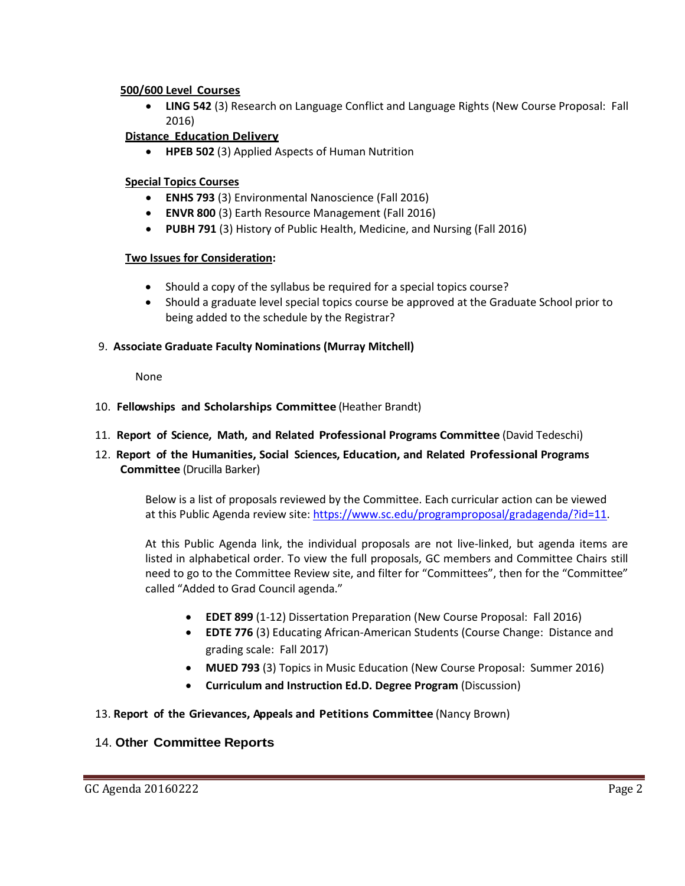#### **500/600 Level Courses**

 **LING 542** (3) Research on Language Conflict and Language Rights (New Course Proposal: Fall 2016)

### **Distance Education Delivery**

**HPEB 502** (3) Applied Aspects of Human Nutrition

### **Special Topics Courses**

- **ENHS 793** (3) Environmental Nanoscience (Fall 2016)
- **ENVR 800** (3) Earth Resource Management (Fall 2016)
- **PUBH 791** (3) History of Public Health, Medicine, and Nursing (Fall 2016)

#### **Two Issues for Consideration:**

- Should a copy of the syllabus be required for a special topics course?
- Should a graduate level special topics course be approved at the Graduate School prior to being added to the schedule by the Registrar?

#### 9. **Associate Graduate Faculty Nominations (Murray Mitchell)**

None

- 10. **Fellowships and Scholarships Committee** (Heather Brandt)
- 11. **Report of Science, Math, and Related Professional Programs Committee** (David Tedeschi)
- 12. **Report of the Humanities, Social Sciences, Education, and Related Professional Programs Committee** (Drucilla Barker)

Below is a list of proposals reviewed by the Committee. Each curricular action can be viewed at this Public Agenda review site: [https://www.sc.edu/programproposal/gradagenda/?id=11.](https://www.sc.edu/programproposal/gradagenda/?id=11)

At this Public Agenda link, the individual proposals are not live-linked, but agenda items are listed in alphabetical order. To view the full proposals, GC members and Committee Chairs still need to go to the Committee Review site, and filter for "Committees", then for the "Committee" called "Added to Grad Council agenda."

- **EDET 899** (1-12) Dissertation Preparation (New Course Proposal: Fall 2016)
- **EDTE 776** (3) Educating African-American Students (Course Change: Distance and grading scale: Fall 2017)
- **MUED 793** (3) Topics in Music Education (New Course Proposal: Summer 2016)
- **Curriculum and Instruction Ed.D. Degree Program** (Discussion)

#### 13. **Report of the Grievances, Appeals and Petitions Committee** (Nancy Brown)

#### 14. **Other Committee Reports**